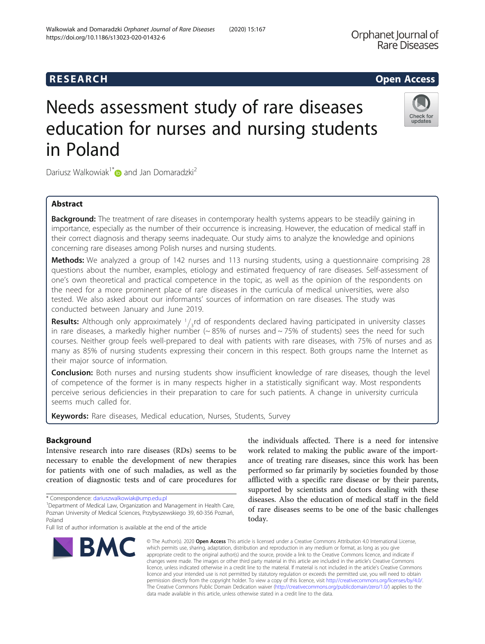# Needs assessment study of rare diseases education for nurses and nursing students in Poland

Dariusz Walkowiak<sup>1\*</sup> and Jan Domaradzki<sup>2</sup>

### Abstract

Background: The treatment of rare diseases in contemporary health systems appears to be steadily gaining in importance, especially as the number of their occurrence is increasing. However, the education of medical staff in their correct diagnosis and therapy seems inadequate. Our study aims to analyze the knowledge and opinions concerning rare diseases among Polish nurses and nursing students.

Methods: We analyzed a group of 142 nurses and 113 nursing students, using a questionnaire comprising 28 questions about the number, examples, etiology and estimated frequency of rare diseases. Self-assessment of one's own theoretical and practical competence in the topic, as well as the opinion of the respondents on the need for a more prominent place of rare diseases in the curricula of medical universities, were also tested. We also asked about our informants' sources of information on rare diseases. The study was conducted between January and June 2019.

**Results:** Although only approximately  $1/3$ rd of respondents declared having participated in university classes in rare diseases, a markedly higher number ( $\sim 85\%$  of nurses and  $\sim 75\%$  of students) sees the need for such courses. Neither group feels well-prepared to deal with patients with rare diseases, with 75% of nurses and as many as 85% of nursing students expressing their concern in this respect. Both groups name the Internet as their major source of information.

Conclusion: Both nurses and nursing students show insufficient knowledge of rare diseases, though the level of competence of the former is in many respects higher in a statistically significant way. Most respondents perceive serious deficiencies in their preparation to care for such patients. A change in university curricula seems much called for.

Keywords: Rare diseases, Medical education, Nurses, Students, Survey

#### Background

Intensive research into rare diseases (RDs) seems to be necessary to enable the development of new therapies for patients with one of such maladies, as well as the creation of diagnostic tests and of care procedures for

\* Correspondence: [dariuszwalkowiak@ump.edu.pl](mailto:dariuszwalkowiak@ump.edu.pl) <sup>1</sup>

### the individuals affected. There is a need for intensive work related to making the public aware of the importance of treating rare diseases, since this work has been performed so far primarily by societies founded by those afflicted with a specific rare disease or by their parents, supported by scientists and doctors dealing with these diseases. Also the education of medical staff in the field of rare diseases seems to be one of the basic challenges today.

© The Author(s), 2020 **Open Access** This article is licensed under a Creative Commons Attribution 4.0 International License, which permits use, sharing, adaptation, distribution and reproduction in any medium or format, as long as you give appropriate credit to the original author(s) and the source, provide a link to the Creative Commons licence, and indicate if changes were made. The images or other third party material in this article are included in the article's Creative Commons licence, unless indicated otherwise in a credit line to the material. If material is not included in the article's Creative Commons licence and your intended use is not permitted by statutory regulation or exceeds the permitted use, you will need to obtain permission directly from the copyright holder. To view a copy of this licence, visit [http://creativecommons.org/licenses/by/4.0/.](http://creativecommons.org/licenses/by/4.0/) The Creative Commons Public Domain Dedication waiver [\(http://creativecommons.org/publicdomain/zero/1.0/](http://creativecommons.org/publicdomain/zero/1.0/)) applies to the data made available in this article, unless otherwise stated in a credit line to the data.

**BMC** 







<sup>&</sup>lt;sup>1</sup>Department of Medical Law, Organization and Management in Health Care, Poznan University of Medical Sciences, Przybyszewskiego 39, 60-356 Poznań, Poland

Full list of author information is available at the end of the article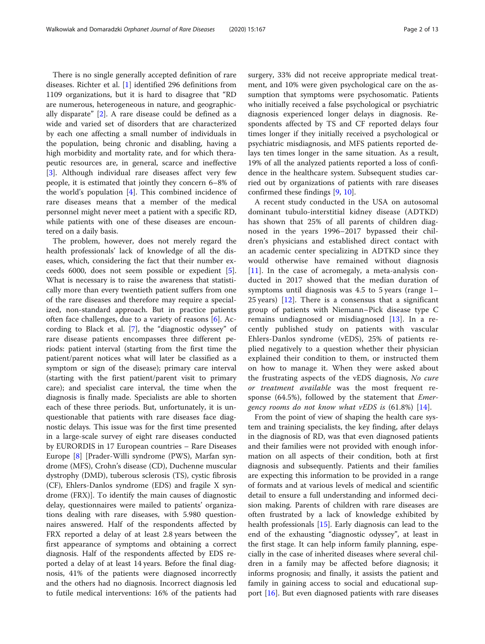There is no single generally accepted definition of rare diseases. Richter et al. [[1](#page-10-0)] identified 296 definitions from 1109 organizations, but it is hard to disagree that "RD are numerous, heterogeneous in nature, and geographically disparate" [\[2](#page-10-0)]. A rare disease could be defined as a wide and varied set of disorders that are characterized by each one affecting a small number of individuals in the population, being chronic and disabling, having a high morbidity and mortality rate, and for which therapeutic resources are, in general, scarce and ineffective [[3\]](#page-10-0). Although individual rare diseases affect very few people, it is estimated that jointly they concern 6–8% of the world's population [\[4](#page-10-0)]. This combined incidence of rare diseases means that a member of the medical personnel might never meet a patient with a specific RD, while patients with one of these diseases are encountered on a daily basis.

The problem, however, does not merely regard the health professionals' lack of knowledge of all the diseases, which, considering the fact that their number exceeds 6000, does not seem possible or expedient [\[5](#page-10-0)]. What is necessary is to raise the awareness that statistically more than every twentieth patient suffers from one of the rare diseases and therefore may require a specialized, non-standard approach. But in practice patients often face challenges, due to a variety of reasons [\[6](#page-11-0)]. According to Black et al. [\[7](#page-11-0)], the "diagnostic odyssey" of rare disease patients encompasses three different periods: patient interval (starting from the first time the patient/parent notices what will later be classified as a symptom or sign of the disease); primary care interval (starting with the first patient/parent visit to primary care); and specialist care interval, the time when the diagnosis is finally made. Specialists are able to shorten each of these three periods. But, unfortunately, it is unquestionable that patients with rare diseases face diagnostic delays. This issue was for the first time presented in a large-scale survey of eight rare diseases conducted by EURORDIS in 17 European countries – Rare Diseases Europe [\[8\]](#page-11-0) [Prader-Willi syndrome (PWS), Marfan syndrome (MFS), Crohn's disease (CD), Duchenne muscular dystrophy (DMD), tuberous sclerosis (TS), cystic fibrosis (CF), Ehlers-Danlos syndrome (EDS) and fragile X syndrome (FRX)]. To identify the main causes of diagnostic delay, questionnaires were mailed to patients' organizations dealing with rare diseases, with 5.980 questionnaires answered. Half of the respondents affected by FRX reported a delay of at least 2.8 years between the first appearance of symptoms and obtaining a correct diagnosis. Half of the respondents affected by EDS reported a delay of at least 14 years. Before the final diagnosis, 41% of the patients were diagnosed incorrectly and the others had no diagnosis. Incorrect diagnosis led to futile medical interventions: 16% of the patients had surgery, 33% did not receive appropriate medical treatment, and 10% were given psychological care on the assumption that symptoms were psychosomatic. Patients who initially received a false psychological or psychiatric diagnosis experienced longer delays in diagnosis. Respondents affected by TS and CF reported delays four times longer if they initially received a psychological or psychiatric misdiagnosis, and MFS patients reported delays ten times longer in the same situation. As a result, 19% of all the analyzed patients reported a loss of confidence in the healthcare system. Subsequent studies carried out by organizations of patients with rare diseases confirmed these findings [\[9](#page-11-0), [10\]](#page-11-0).

A recent study conducted in the USA on autosomal dominant tubulo-interstitial kidney disease (ADTKD) has shown that 25% of all parents of children diagnosed in the years 1996–2017 bypassed their children's physicians and established direct contact with an academic center specializing in ADTKD since they would otherwise have remained without diagnosis [[11\]](#page-11-0). In the case of acromegaly, a meta-analysis conducted in 2017 showed that the median duration of symptoms until diagnosis was 4.5 to 5 years (range 1– 25 years) [[12\]](#page-11-0). There is a consensus that a significant group of patients with Niemann–Pick disease type C remains undiagnosed or misdiagnosed [\[13](#page-11-0)]. In a recently published study on patients with vascular Ehlers-Danlos syndrome (vEDS), 25% of patients replied negatively to a question whether their physician explained their condition to them, or instructed them on how to manage it. When they were asked about the frustrating aspects of the vEDS diagnosis, No cure or treatment available was the most frequent response (64.5%), followed by the statement that *Emer*gency rooms do not know what  $vEDS$  is  $(61.8\%)$  [[14](#page-11-0)].

From the point of view of shaping the health care system and training specialists, the key finding, after delays in the diagnosis of RD, was that even diagnosed patients and their families were not provided with enough information on all aspects of their condition, both at first diagnosis and subsequently. Patients and their families are expecting this information to be provided in a range of formats and at various levels of medical and scientific detail to ensure a full understanding and informed decision making. Parents of children with rare diseases are often frustrated by a lack of knowledge exhibited by health professionals [[15](#page-11-0)]. Early diagnosis can lead to the end of the exhausting "diagnostic odyssey", at least in the first stage. It can help inform family planning, especially in the case of inherited diseases where several children in a family may be affected before diagnosis; it informs prognosis; and finally, it assists the patient and family in gaining access to social and educational support [\[16](#page-11-0)]. But even diagnosed patients with rare diseases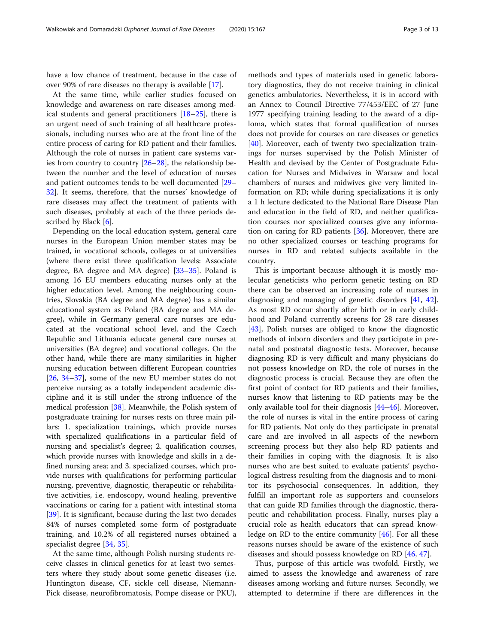have a low chance of treatment, because in the case of over 90% of rare diseases no therapy is available [\[17](#page-11-0)].

At the same time, while earlier studies focused on knowledge and awareness on rare diseases among medical students and general practitioners [\[18](#page-11-0)–[25\]](#page-11-0), there is an urgent need of such training of all healthcare professionals, including nurses who are at the front line of the entire process of caring for RD patient and their families. Although the role of nurses in patient care systems varies from country to country [[26](#page-11-0)–[28](#page-11-0)], the relationship between the number and the level of education of nurses and patient outcomes tends to be well documented [[29](#page-11-0)– [32\]](#page-11-0). It seems, therefore, that the nurses' knowledge of rare diseases may affect the treatment of patients with such diseases, probably at each of the three periods described by Black [\[6](#page-11-0)].

Depending on the local education system, general care nurses in the European Union member states may be trained, in vocational schools, colleges or at universities (where there exist three qualification levels: Associate degree, BA degree and MA degree) [\[33](#page-11-0)–[35\]](#page-11-0). Poland is among 16 EU members educating nurses only at the higher education level. Among the neighbouring countries, Slovakia (BA degree and MA degree) has a similar educational system as Poland (BA degree and MA degree), while in Germany general care nurses are educated at the vocational school level, and the Czech Republic and Lithuania educate general care nurses at universities (BA degree) and vocational colleges. On the other hand, while there are many similarities in higher nursing education between different European countries [[26,](#page-11-0) [34](#page-11-0)–[37\]](#page-11-0), some of the new EU member states do not perceive nursing as a totally independent academic discipline and it is still under the strong influence of the medical profession [[38](#page-11-0)]. Meanwhile, the Polish system of postgraduate training for nurses rests on three main pillars: 1. specialization trainings, which provide nurses with specialized qualifications in a particular field of nursing and specialist's degree; 2. qualification courses, which provide nurses with knowledge and skills in a defined nursing area; and 3. specialized courses, which provide nurses with qualifications for performing particular nursing, preventive, diagnostic, therapeutic or rehabilitative activities, i.e. endoscopy, wound healing, preventive vaccinations or caring for a patient with intestinal stoma [[39\]](#page-11-0). It is significant, because during the last two decades 84% of nurses completed some form of postgraduate training, and 10.2% of all registered nurses obtained a specialist degree [\[34](#page-11-0), [35](#page-11-0)].

At the same time, although Polish nursing students receive classes in clinical genetics for at least two semesters where they study about some genetic diseases (i.e. Huntington disease, CF, sickle cell disease, Niemann-Pick disease, neurofibromatosis, Pompe disease or PKU),

methods and types of materials used in genetic laboratory diagnostics, they do not receive training in clinical genetics ambulatories. Nevertheless, it is in accord with an Annex to Council Directive 77/453/EEC of 27 June 1977 specifying training leading to the award of a diploma, which states that formal qualification of nurses does not provide for courses on rare diseases or genetics [[40\]](#page-11-0). Moreover, each of twenty two specialization trainings for nurses supervised by the Polish Minister of Health and devised by the Center of Postgraduate Education for Nurses and Midwives in Warsaw and local chambers of nurses and midwives give very limited information on RD; while during specializations it is only a 1 h lecture dedicated to the National Rare Disease Plan and education in the field of RD, and neither qualification courses nor specialized courses give any information on caring for RD patients [\[36](#page-11-0)]. Moreover, there are no other specialized courses or teaching programs for nurses in RD and related subjects available in the country.

This is important because although it is mostly molecular geneticists who perform genetic testing on RD there can be observed an increasing role of nurses in diagnosing and managing of genetic disorders [\[41,](#page-11-0) [42](#page-11-0)]. As most RD occur shortly after birth or in early childhood and Poland currently screens for 28 rare diseases [[43\]](#page-11-0), Polish nurses are obliged to know the diagnostic methods of inborn disorders and they participate in prenatal and postnatal diagnostic tests. Moreover, because diagnosing RD is very difficult and many physicians do not possess knowledge on RD, the role of nurses in the diagnostic process is crucial. Because they are often the first point of contact for RD patients and their families, nurses know that listening to RD patients may be the only available tool for their diagnosis [[44](#page-11-0)–[46](#page-11-0)]. Moreover, the role of nurses is vital in the entire process of caring for RD patients. Not only do they participate in prenatal care and are involved in all aspects of the newborn screening process but they also help RD patients and their families in coping with the diagnosis. It is also nurses who are best suited to evaluate patients' psychological distress resulting from the diagnosis and to monitor its psychosocial consequences. In addition, they fulfill an important role as supporters and counselors that can guide RD families through the diagnostic, therapeutic and rehabilitation process. Finally, nurses play a crucial role as health educators that can spread knowledge on RD to the entire community [[46](#page-11-0)]. For all these reasons nurses should be aware of the existence of such diseases and should possess knowledge on RD [\[46](#page-11-0), [47\]](#page-11-0).

Thus, purpose of this article was twofold. Firstly, we aimed to assess the knowledge and awareness of rare diseases among working and future nurses. Secondly, we attempted to determine if there are differences in the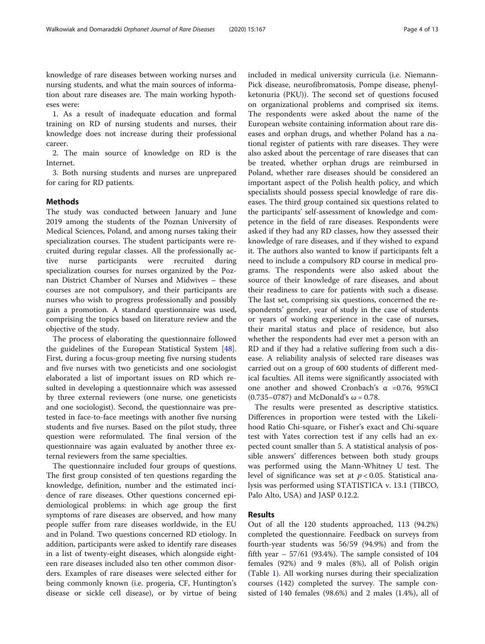knowledge of rare diseases between working nurses and nursing students, and what the main sources of information about rare diseases are. The main working hypotheses were:

1. As a result of inadequate education and formal training on RD of nursing students and nurses, their knowledge does not increase during their professional career.

2. The main source of knowledge on RD is the Internet.

3. Both nursing students and nurses are unprepared for caring for RD patients.

#### Methods

The study was conducted between January and June 2019 among the students of the Poznan University of Medical Sciences, Poland, and among nurses taking their specialization courses. The student participants were recruited during regular classes. All the professionally active nurse participants were recruited during specialization courses for nurses organized by the Poznan District Chamber of Nurses and Midwives – these courses are not compulsory, and their participants are nurses who wish to progress professionally and possibly gain a promotion. A standard questionnaire was used, comprising the topics based on literature review and the objective of the study.

The process of elaborating the questionnaire followed the guidelines of the European Statistical System [\[48](#page-11-0)]. First, during a focus-group meeting five nursing students and five nurses with two geneticists and one sociologist elaborated a list of important issues on RD which resulted in developing a questionnaire which was assessed by three external reviewers (one nurse, one geneticists and one sociologist). Second, the questionnaire was pretested in face-to-face meetings with another five nursing students and five nurses. Based on the pilot study, three question were reformulated. The final version of the questionnaire was again evaluated by another three external reviewers from the same specialties.

The questionnaire included four groups of questions. The first group consisted of ten questions regarding the knowledge, definition, number and the estimated incidence of rare diseases. Other questions concerned epidemiological problems: in which age group the first symptoms of rare diseases are observed, and how many people suffer from rare diseases worldwide, in the EU and in Poland. Two questions concerned RD etiology. In addition, participants were asked to identify rare diseases in a list of twenty-eight diseases, which alongside eighteen rare diseases included also ten other common disorders. Examples of rare diseases were selected either for being commonly known (i.e. progeria, CF, Huntington's disease or sickle cell disease), or by virtue of being included in medical university curricula (i.e. Niemann-Pick disease, neurofibromatosis, Pompe disease, phenylketonuria (PKU)). The second set of questions focused on organizational problems and comprised six items. The respondents were asked about the name of the European website containing information about rare diseases and orphan drugs, and whether Poland has a national register of patients with rare diseases. They were also asked about the percentage of rare diseases that can be treated, whether orphan drugs are reimbursed in Poland, whether rare diseases should be considered an important aspect of the Polish health policy, and which specialists should possess special knowledge of rare diseases. The third group contained six questions related to the participants' self-assessment of knowledge and competence in the field of rare diseases. Respondents were asked if they had any RD classes, how they assessed their knowledge of rare diseases, and if they wished to expand it. The authors also wanted to know if participants felt a need to include a compulsory RD course in medical programs. The respondents were also asked about the source of their knowledge of rare diseases, and about their readiness to care for patients with such a disease. The last set, comprising six questions, concerned the respondents' gender, year of study in the case of students or years of working experience in the case of nurses, their marital status and place of residence, but also whether the respondents had ever met a person with an RD and if they had a relative suffering from such a disease. A reliability analysis of selected rare diseases was carried out on a group of 600 students of different medical faculties. All items were significantly associated with one another and showed Cronbach's  $\alpha$  =0.76, 95%CI (0.735–0787) and McDonald's ω = 0.78.

The results were presented as descriptive statistics. Differences in proportion were tested with the Likelihood Ratio Chi-square, or Fisher's exact and Chi-square test with Yates correction test if any cells had an expected count smaller than 5. A statistical analysis of possible answers' differences between both study groups was performed using the Mann-Whitney U test. The level of significance was set at  $p < 0.05$ . Statistical analysis was performed using STATISTICA v. 13.1 (TIBCO, Palo Alto, USA) and JASP 0.12.2.

#### Results

Out of all the 120 students approached, 113 (94.2%) completed the questionnaire. Feedback on surveys from fourth-year students was 56/59 (94.9%) and from the fifth year  $-57/61$  (93.4%). The sample consisted of 104 females (92%) and 9 males (8%), all of Polish origin (Table [1](#page-4-0)). All working nurses during their specialization courses (142) completed the survey. The sample consisted of 140 females (98.6%) and 2 males (1.4%), all of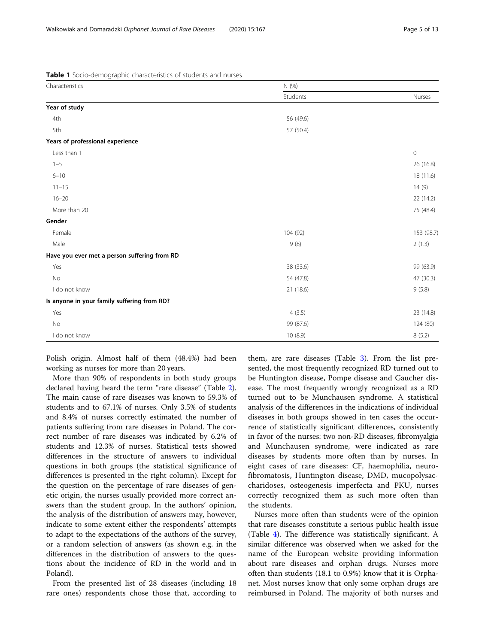<span id="page-4-0"></span>Table 1 Socio-demographic characteristics of students and nurses

| Characteristics                              | N(%)      |             |
|----------------------------------------------|-----------|-------------|
|                                              | Students  | Nurses      |
| Year of study                                |           |             |
| 4th                                          | 56 (49.6) |             |
| 5th                                          | 57 (50.4) |             |
| Years of professional experience             |           |             |
| Less than 1                                  |           | $\mathbf 0$ |
| $1 - 5$                                      |           | 26 (16.8)   |
| $6 - 10$                                     |           | 18 (11.6)   |
| $11 - 15$                                    |           | 14 (9)      |
| $16 - 20$                                    |           | 22 (14.2)   |
| More than 20                                 |           | 75 (48.4)   |
| Gender                                       |           |             |
| Female                                       | 104 (92)  | 153 (98.7)  |
| Male                                         | 9(8)      | 2(1.3)      |
| Have you ever met a person suffering from RD |           |             |
| Yes                                          | 38 (33.6) | 99 (63.9)   |
| No                                           | 54 (47.8) | 47 (30.3)   |
| I do not know                                | 21 (18.6) | 9(5.8)      |
| Is anyone in your family suffering from RD?  |           |             |
| Yes                                          | 4(3.5)    | 23 (14.8)   |
| No                                           | 99 (87.6) | 124 (80)    |
| I do not know                                | 10 (8.9)  | 8(5.2)      |

Polish origin. Almost half of them (48.4%) had been working as nurses for more than 20 years.

More than 90% of respondents in both study groups declared having heard the term "rare disease" (Table [2](#page-5-0)). The main cause of rare diseases was known to 59.3% of students and to 67.1% of nurses. Only 3.5% of students and 8.4% of nurses correctly estimated the number of patients suffering from rare diseases in Poland. The correct number of rare diseases was indicated by 6.2% of students and 12.3% of nurses. Statistical tests showed differences in the structure of answers to individual questions in both groups (the statistical significance of differences is presented in the right column). Except for the question on the percentage of rare diseases of genetic origin, the nurses usually provided more correct answers than the student group. In the authors' opinion, the analysis of the distribution of answers may, however, indicate to some extent either the respondents' attempts to adapt to the expectations of the authors of the survey, or a random selection of answers (as shown e.g. in the differences in the distribution of answers to the questions about the incidence of RD in the world and in Poland).

From the presented list of 28 diseases (including 18 rare ones) respondents chose those that, according to

them, are rare diseases (Table [3](#page-7-0)). From the list presented, the most frequently recognized RD turned out to be Huntington disease, Pompe disease and Gaucher disease. The most frequently wrongly recognized as a RD turned out to be Munchausen syndrome. A statistical analysis of the differences in the indications of individual diseases in both groups showed in ten cases the occurrence of statistically significant differences, consistently in favor of the nurses: two non-RD diseases, fibromyalgia and Munchausen syndrome, were indicated as rare diseases by students more often than by nurses. In eight cases of rare diseases: CF, haemophilia, neurofibromatosis, Huntington disease, DMD, mucopolysaccharidoses, osteogenesis imperfecta and PKU, nurses correctly recognized them as such more often than the students.

Nurses more often than students were of the opinion that rare diseases constitute a serious public health issue (Table [4](#page-8-0)). The difference was statistically significant. A similar difference was observed when we asked for the name of the European website providing information about rare diseases and orphan drugs. Nurses more often than students (18.1 to 0.9%) know that it is Orphanet. Most nurses know that only some orphan drugs are reimbursed in Poland. The majority of both nurses and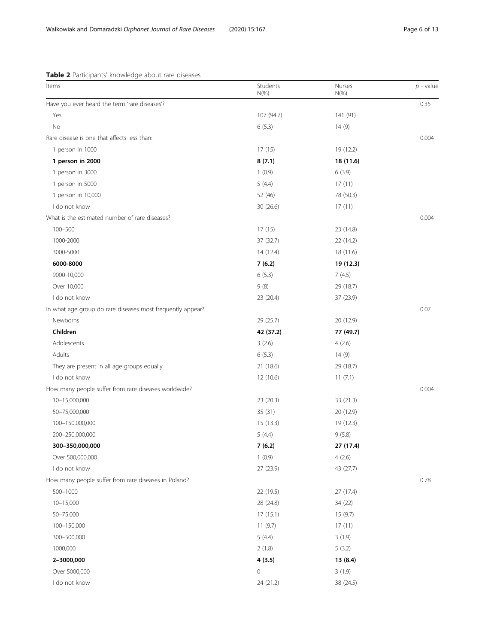#### <span id="page-5-0"></span>Table 2 Participants' knowledge about rare diseases

| Items                                                      | Students<br>$N(\% )$ | Nurses<br>$N(\% )$ | $p$ - value |
|------------------------------------------------------------|----------------------|--------------------|-------------|
| Have you ever heard the term 'rare diseases'?              |                      |                    | 0.35        |
| Yes                                                        | 107 (94.7)           | 141 (91)           |             |
| No                                                         | 6(5.3)               | 14(9)              |             |
| Rare disease is one that affects less than:                |                      |                    | 0.004       |
| 1 person in 1000                                           | 17 (15)              | 19 (12.2)          |             |
| 1 person in 2000                                           | 8(7.1)               | 18 (11.6)          |             |
| 1 person in 3000                                           | 1(0.9)               | 6(3.9)             |             |
| 1 person in 5000                                           | 5(4.4)               | 17(11)             |             |
| 1 person in 10,000                                         | 52 (46)              | 78 (50.3)          |             |
| I do not know                                              | 30 (26.6)            | 17(11)             |             |
| What is the estimated number of rare diseases?             |                      |                    | 0.004       |
| $100 - 500$                                                | 17 (15)              | 23 (14.8)          |             |
| 1000-2000                                                  | 37 (32.7)            | 22 (14.2)          |             |
| 3000-5000                                                  | 14 (12.4)            | 18 (11.6)          |             |
| 6000-8000                                                  | 7(6.2)               | 19 (12.3)          |             |
| 9000-10,000                                                | 6(5.3)               | 7(4.5)             |             |
| Over 10,000                                                | 9(8)                 | 29 (18.7)          |             |
| I do not know                                              | 23 (20.4)            | 37 (23.9)          |             |
| In what age group do rare diseases most frequently appear? |                      |                    | 0.07        |
| Newborns                                                   | 29 (25.7)            | 20 (12.9)          |             |
| Children                                                   | 42 (37.2)            | 77 (49.7)          |             |
| Adolescents                                                | 3(2.6)               | 4(2.6)             |             |
| Adults                                                     | 6(5.3)               | 14(9)              |             |
| They are present in all age groups equally                 | 21 (18.6)            | 29 (18.7)          |             |
| I do not know                                              | 12 (10.6)            | 11(7.1)            |             |
| How many people suffer from rare diseases worldwide?       |                      |                    | 0.004       |
| 10-15,000,000                                              | 23 (20.3)            | 33 (21.3)          |             |
| 50-75,000,000                                              | 35 (31)              | 20 (12.9)          |             |
| 100-150,000,000                                            | 15(13.3)             | 19 (12.3)          |             |
| 200-250,000,000                                            | 5(4.4)               | 9(5.8)             |             |
| 300-350,000,000                                            | 7(6.2)               | 27 (17.4)          |             |
| Over 500,000,000                                           | 1(0.9)               | 4(2.6)             |             |
| I do not know                                              | 27 (23.9)            | 43 (27.7)          |             |
| How many people suffer from rare diseases in Poland?       |                      |                    | 0.78        |
| 500-1000                                                   | 22 (19.5)            | 27(17.4)           |             |
| $10 - 15,000$                                              | 28 (24.8)            | 34 (22)            |             |
| 50-75,000                                                  | 17(15.1)             | 15(9.7)            |             |
| 100-150,000                                                | 11(9.7)              | 17(11)             |             |
| 300-500,000                                                | 5(4.4)               | 3(1.9)             |             |
| 1000,000                                                   | 2(1.8)               | 5(3.2)             |             |
| 2-3000,000                                                 | 4(3.5)               | 13 (8.4)           |             |
| Over 5000,000                                              | $\mathsf{O}\xspace$  | 3(1.9)             |             |
| I do not know                                              | 24 (21.2)            | 38 (24.5)          |             |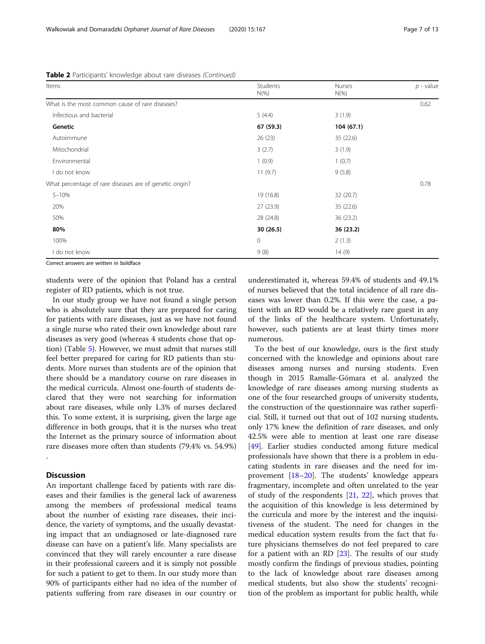| Items                                                                                                                                                                                                                             | Students<br>$N(\%)$ | Nurses<br>$N(\%)$ | $p$ - value |
|-----------------------------------------------------------------------------------------------------------------------------------------------------------------------------------------------------------------------------------|---------------------|-------------------|-------------|
| What is the most common cause of rare diseases?                                                                                                                                                                                   |                     |                   | 0.62        |
| Infectious and bacterial                                                                                                                                                                                                          | 5(4.4)              | 3(1.9)            |             |
| Genetic                                                                                                                                                                                                                           | 67 (59.3)           | 104(67.1)         |             |
| Autoimmune                                                                                                                                                                                                                        | 26(23)              | 35 (22.6)         |             |
| Mitochondrial                                                                                                                                                                                                                     | 3(2.7)              | 3(1.9)            |             |
| Environmental                                                                                                                                                                                                                     | 1(0.9)              | 1(0.7)            |             |
| l do not know                                                                                                                                                                                                                     | 11(9.7)             | 9(5.8)            |             |
| What percentage of rare diseases are of genetic origin?                                                                                                                                                                           |                     |                   | 0.78        |
| $5 - 10%$                                                                                                                                                                                                                         | 19 (16.8)           | 32 (20.7)         |             |
| 20%                                                                                                                                                                                                                               | 27(23.9)            | 35 (22.6)         |             |
| 50%                                                                                                                                                                                                                               | 28 (24.8)           | 36 (23.2)         |             |
| 80%                                                                                                                                                                                                                               | 30(26.5)            | 36 (23.2)         |             |
| 100%                                                                                                                                                                                                                              | 0                   | 2(1.3)            |             |
| do not know                                                                                                                                                                                                                       | 9(8)                | 14(9)             |             |
| $\sigma$ . The set of the set of the set of the set of the set of the set of the set of the set of the set of the set of the set of the set of the set of the set of the set of the set of the set of the set of the set of the s |                     |                   |             |

Table 2 Participants' knowledge about rare diseases (Continued)

orrect answers are written in boldface

students were of the opinion that Poland has a central register of RD patients, which is not true.

In our study group we have not found a single person who is absolutely sure that they are prepared for caring for patients with rare diseases, just as we have not found a single nurse who rated their own knowledge about rare diseases as very good (whereas 4 students chose that option) (Table [5](#page-9-0)). However, we must admit that nurses still feel better prepared for caring for RD patients than students. More nurses than students are of the opinion that there should be a mandatory course on rare diseases in the medical curricula. Almost one-fourth of students declared that they were not searching for information about rare diseases, while only 1.3% of nurses declared this. To some extent, it is surprising, given the large age difference in both groups, that it is the nurses who treat the Internet as the primary source of information about rare diseases more often than students (79.4% vs. 54.9%)

#### Discussion

.

An important challenge faced by patients with rare diseases and their families is the general lack of awareness among the members of professional medical teams about the number of existing rare diseases, their incidence, the variety of symptoms, and the usually devastating impact that an undiagnosed or late-diagnosed rare disease can have on a patient's life. Many specialists are convinced that they will rarely encounter a rare disease in their professional careers and it is simply not possible for such a patient to get to them. In our study more than 90% of participants either had no idea of the number of patients suffering from rare diseases in our country or

underestimated it, whereas 59.4% of students and 49.1% of nurses believed that the total incidence of all rare diseases was lower than 0.2%. If this were the case, a patient with an RD would be a relatively rare guest in any of the links of the healthcare system. Unfortunately, however, such patients are at least thirty times more numerous.

To the best of our knowledge, ours is the first study concerned with the knowledge and opinions about rare diseases among nurses and nursing students. Even though in 2015 Ramalle-Gómara et al. analyzed the knowledge of rare diseases among nursing students as one of the four researched groups of university students, the construction of the questionnaire was rather superficial. Still, it turned out that out of 102 nursing students, only 17% knew the definition of rare diseases, and only 42.5% were able to mention at least one rare disease [[49\]](#page-11-0). Earlier studies conducted among future medical professionals have shown that there is a problem in educating students in rare diseases and the need for improvement [[18](#page-11-0)–[20](#page-11-0)]. The students' knowledge appears fragmentary, incomplete and often unrelated to the year of study of the respondents  $[21, 22]$  $[21, 22]$  $[21, 22]$  $[21, 22]$ , which proves that the acquisition of this knowledge is less determined by the curricula and more by the interest and the inquisitiveness of the student. The need for changes in the medical education system results from the fact that future physicians themselves do not feel prepared to care for a patient with an RD [[23\]](#page-11-0). The results of our study mostly confirm the findings of previous studies, pointing to the lack of knowledge about rare diseases among medical students, but also show the students' recognition of the problem as important for public health, while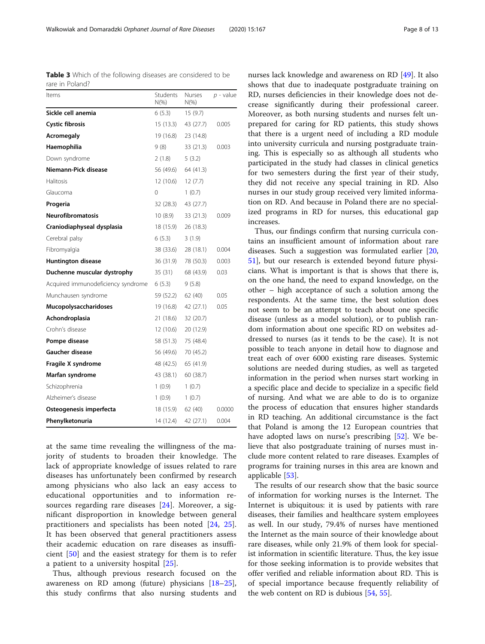at the same time revealing the willingness of the majority of students to broaden their knowledge. The lack of appropriate knowledge of issues related to rare diseases has unfortunately been confirmed by research among physicians who also lack an easy access to educational opportunities and to information resources regarding rare diseases [[24\]](#page-11-0). Moreover, a significant disproportion in knowledge between general practitioners and specialists has been noted [[24,](#page-11-0) [25](#page-11-0)]. It has been observed that general practitioners assess their academic education on rare diseases as insufficient [\[50](#page-11-0)] and the easiest strategy for them is to refer a patient to a university hospital [\[25](#page-11-0)].

Thus, although previous research focused on the awareness on RD among (future) physicians [[18](#page-11-0)–[25](#page-11-0)], this study confirms that also nursing students and nurses lack knowledge and awareness on RD [\[49\]](#page-11-0). It also shows that due to inadequate postgraduate training on RD, nurses deficiencies in their knowledge does not decrease significantly during their professional career. Moreover, as both nursing students and nurses felt unprepared for caring for RD patients, this study shows that there is a urgent need of including a RD module into university curricula and nursing postgraduate training. This is especially so as although all students who participated in the study had classes in clinical genetics for two semesters during the first year of their study, they did not receive any special training in RD. Also nurses in our study group received very limited information on RD. And because in Poland there are no specialized programs in RD for nurses, this educational gap increases.

Thus, our findings confirm that nursing curricula contains an insufficient amount of information about rare diseases. Such a suggestion was formulated earlier [[20](#page-11-0), [51\]](#page-12-0), but our research is extended beyond future physicians. What is important is that is shows that there is, on the one hand, the need to expand knowledge, on the other – high acceptance of such a solution among the respondents. At the same time, the best solution does not seem to be an attempt to teach about one specific disease (unless as a model solution), or to publish random information about one specific RD on websites addressed to nurses (as it tends to be the case). It is not possible to teach anyone in detail how to diagnose and treat each of over 6000 existing rare diseases. Systemic solutions are needed during studies, as well as targeted information in the period when nurses start working in a specific place and decide to specialize in a specific field of nursing. And what we are able to do is to organize the process of education that ensures higher standards in RD teaching. An additional circumstance is the fact that Poland is among the 12 European countries that have adopted laws on nurse's prescribing [\[52](#page-12-0)]. We believe that also postgraduate training of nurses must include more content related to rare diseases. Examples of programs for training nurses in this area are known and applicable [[53](#page-12-0)].

The results of our research show that the basic source of information for working nurses is the Internet. The Internet is ubiquitous: it is used by patients with rare diseases, their families and healthcare system employees as well. In our study, 79.4% of nurses have mentioned the Internet as the main source of their knowledge about rare diseases, while only 21.9% of them look for specialist information in scientific literature. Thus, the key issue for those seeking information is to provide websites that offer verified and reliable information about RD. This is of special importance because frequently reliability of the web content on RD is dubious [\[54](#page-12-0), [55\]](#page-12-0).

<span id="page-7-0"></span>Table 3 Which of the following diseases are considered to be rare in Poland?

| Items                              | Students<br>$N(\%)$ | <b>Nurses</b><br>$N(\%)$ | $p$ - value |  |
|------------------------------------|---------------------|--------------------------|-------------|--|
| Sickle cell anemia                 | 6(5.3)              | 15(9.7)                  |             |  |
| <b>Cystic fibrosis</b>             | 15 (13.3)           | 43 (27.7)                | 0.005       |  |
| Acromegaly                         | 19 (16.8)           | 23 (14.8)                |             |  |
| Haemophilia                        | 9 (8)               | 33 (21.3)                | 0.003       |  |
| Down syndrome                      | 2(1.8)              | 5(3.2)                   |             |  |
| Niemann-Pick disease               | 56 (49.6)           | 64 (41.3)                |             |  |
| Halitosis                          | 12 (10.6)           | 12(7.7)                  |             |  |
| Glaucoma                           | 0                   | 1(0.7)                   |             |  |
| Progeria                           | 32 (28.3)           | 43 (27.7)                |             |  |
| <b>Neurofibromatosis</b>           | 10(8.9)             | 33(21.3)                 | 0.009       |  |
| Craniodiaphyseal dysplasia         | 18 (15.9)           | 26 (18.3)                |             |  |
| Cerebral palsy                     | 6(5.3)              | 3(1.9)                   |             |  |
| Fibromyalgia                       | 38 (33.6)           | 28 (18.1)                | 0.004       |  |
| <b>Huntington disease</b>          | 36 (31.9)           | 78 (50.3)                | 0.003       |  |
| Duchenne muscular dystrophy        | 35(31)              | 68 (43.9)                | 0.03        |  |
| Acquired immunodeficiency syndrome | 6 (5.3)             | 9(5.8)                   |             |  |
| Munchausen syndrome                | 59 (52.2)           | 62 (40)                  | 0.05        |  |
| Mucopolysaccharidoses              | 19 (16.8)           | 42 (27.1)                | 0.05        |  |
| Achondroplasia                     | 21 (18.6)           | 32 (20.7)                |             |  |
| Crohn's disease                    | 12 (10.6)           | 20 (12.9)                |             |  |
| Pompe disease                      | 58 (51.3)           | 75 (48.4)                |             |  |
| <b>Gaucher disease</b>             | 56 (49.6)           | 70 (45.2)                |             |  |
| Fragile X syndrome                 | 48 (42.5)           | 65 (41.9)                |             |  |
| Marfan syndrome                    | 43 (38.1)           | 60 (38.7)                |             |  |
| Schizophrenia                      | 1(0.9)              | 1(0.7)                   |             |  |
| Alzheimer's disease                | 1(0.9)              | 1(0.7)                   |             |  |
| Osteogenesis imperfecta            | 18 (15.9)           | 62 (40)                  | 0.0000      |  |
| Phenylketonuria                    | 14 (12.4)           | 42 (27.1)                | 0.004       |  |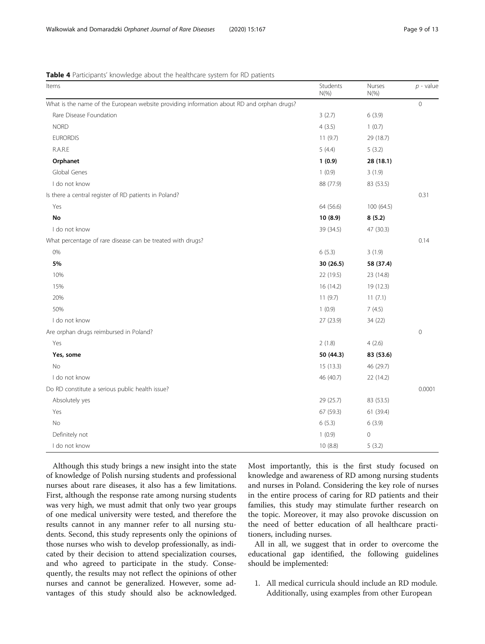#### <span id="page-8-0"></span>Table 4 Participants' knowledge about the healthcare system for RD patients

| Items                                                                                     | Students<br>$N(\%)$ | Nurses<br>$N(\%)$ | $p$ - value |
|-------------------------------------------------------------------------------------------|---------------------|-------------------|-------------|
| What is the name of the European website providing information about RD and orphan drugs? |                     |                   | $\Omega$    |
| Rare Disease Foundation                                                                   | 3(2.7)              | 6(3.9)            |             |
| <b>NORD</b>                                                                               | 4(3.5)              | 1(0.7)            |             |
| <b>EURORDIS</b>                                                                           | 11(9.7)             | 29 (18.7)         |             |
| R.A.R.E                                                                                   | 5(4.4)              | 5(3.2)            |             |
| Orphanet                                                                                  | 1(0.9)              | 28 (18.1)         |             |
| Global Genes                                                                              | 1(0.9)              | 3(1.9)            |             |
| I do not know                                                                             | 88 (77.9)           | 83 (53.5)         |             |
| Is there a central register of RD patients in Poland?                                     |                     |                   | 0.31        |
| Yes                                                                                       | 64 (56.6)           | 100 (64.5)        |             |
| No                                                                                        | 10(8.9)             | 8(5.2)            |             |
| I do not know                                                                             | 39 (34.5)           | 47 (30.3)         |             |
| What percentage of rare disease can be treated with drugs?                                |                     |                   | 0.14        |
| $0\%$                                                                                     | 6(5.3)              | 3(1.9)            |             |
| 5%                                                                                        | 30 (26.5)           | 58 (37.4)         |             |
| 10%                                                                                       | 22 (19.5)           | 23 (14.8)         |             |
| 15%                                                                                       | 16 (14.2)           | 19 (12.3)         |             |
| 20%                                                                                       | 11(9.7)             | 11(7.1)           |             |
| 50%                                                                                       | 1(0.9)              | 7(4.5)            |             |
| I do not know                                                                             | 27 (23.9)           | 34 (22)           |             |
| Are orphan drugs reimbursed in Poland?                                                    |                     |                   | $\mathbf 0$ |
| Yes                                                                                       | 2(1.8)              | 4(2.6)            |             |
| Yes, some                                                                                 | 50 (44.3)           | 83 (53.6)         |             |
| No                                                                                        | 15(13.3)            | 46 (29.7)         |             |
| I do not know                                                                             | 46 (40.7)           | 22 (14.2)         |             |
| Do RD constitute a serious public health issue?                                           |                     |                   | 0.0001      |
| Absolutely yes                                                                            | 29 (25.7)           | 83 (53.5)         |             |
| Yes                                                                                       | 67 (59.3)           | 61 (39.4)         |             |
| <b>No</b>                                                                                 | 6(5.3)              | 6(3.9)            |             |
| Definitely not                                                                            | 1(0.9)              | $\mathbf 0$       |             |
| I do not know                                                                             | 10(8.8)             | 5(3.2)            |             |

Although this study brings a new insight into the state of knowledge of Polish nursing students and professional nurses about rare diseases, it also has a few limitations. First, although the response rate among nursing students was very high, we must admit that only two year groups of one medical university were tested, and therefore the results cannot in any manner refer to all nursing students. Second, this study represents only the opinions of those nurses who wish to develop professionally, as indicated by their decision to attend specialization courses, and who agreed to participate in the study. Consequently, the results may not reflect the opinions of other nurses and cannot be generalized. However, some advantages of this study should also be acknowledged.

Most importantly, this is the first study focused on knowledge and awareness of RD among nursing students and nurses in Poland. Considering the key role of nurses in the entire process of caring for RD patients and their families, this study may stimulate further research on the topic. Moreover, it may also provoke discussion on the need of better education of all healthcare practitioners, including nurses.

All in all, we suggest that in order to overcome the educational gap identified, the following guidelines should be implemented:

1. All medical curricula should include an RD module. Additionally, using examples from other European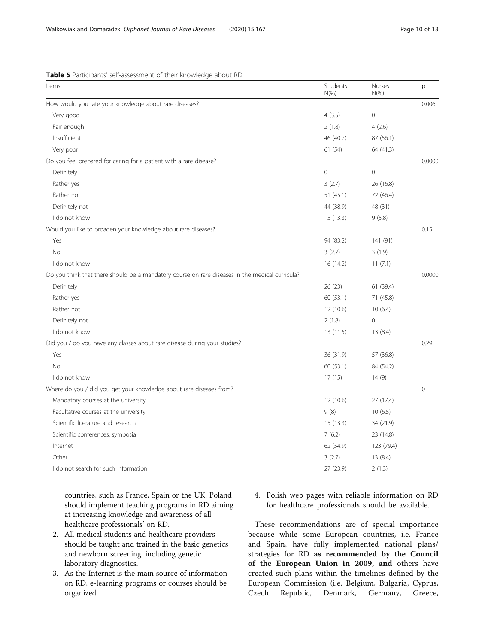| Items                                                                                           | Students<br>$N(\%)$ | Nurses<br>$N(\% )$ | p        |
|-------------------------------------------------------------------------------------------------|---------------------|--------------------|----------|
| How would you rate your knowledge about rare diseases?                                          |                     |                    | 0.006    |
| Very good                                                                                       | 4(3.5)              | $\mathbf 0$        |          |
| Fair enough                                                                                     | 2(1.8)              | 4(2.6)             |          |
| Insufficient                                                                                    | 46 (40.7)           | 87 (56.1)          |          |
| Very poor                                                                                       | 61(54)              | 64 (41.3)          |          |
| Do you feel prepared for caring for a patient with a rare disease?                              |                     |                    | 0.0000   |
| Definitely                                                                                      | $\overline{0}$      | $\overline{0}$     |          |
| Rather yes                                                                                      | 3(2.7)              | 26 (16.8)          |          |
| Rather not                                                                                      | 51 (45.1)           | 72 (46.4)          |          |
| Definitely not                                                                                  | 44 (38.9)           | 48 (31)            |          |
| I do not know                                                                                   | 15(13.3)            | 9(5.8)             |          |
| Would you like to broaden your knowledge about rare diseases?                                   |                     |                    | 0.15     |
| Yes                                                                                             | 94 (83.2)           | 141 (91)           |          |
| <b>No</b>                                                                                       | 3(2.7)              | 3(1.9)             |          |
| I do not know                                                                                   | 16 (14.2)           | 11(7.1)            |          |
| Do you think that there should be a mandatory course on rare diseases in the medical curricula? |                     |                    | 0.0000   |
| Definitely                                                                                      | 26(23)              | 61 (39.4)          |          |
| Rather yes                                                                                      | 60 (53.1)           | 71 (45.8)          |          |
| Rather not                                                                                      | 12 (10.6)           | 10(6.4)            |          |
| Definitely not                                                                                  | 2(1.8)              | $\overline{0}$     |          |
| I do not know                                                                                   | 13(11.5)            | 13(8.4)            |          |
| Did you / do you have any classes about rare disease during your studies?                       |                     |                    | 0.29     |
| Yes                                                                                             | 36 (31.9)           | 57 (36.8)          |          |
| <b>No</b>                                                                                       | 60 (53.1)           | 84 (54.2)          |          |
| I do not know                                                                                   | 17(15)              | 14(9)              |          |
| Where do you / did you get your knowledge about rare diseases from?                             |                     |                    | $\Omega$ |
| Mandatory courses at the university                                                             | 12 (10.6)           | 27 (17.4)          |          |
| Facultative courses at the university                                                           | 9(8)                | 10(6.5)            |          |
| Scientific literature and research                                                              | 15(13.3)            | 34 (21.9)          |          |
| Scientific conferences, symposia                                                                | 7(6.2)              | 23 (14.8)          |          |
| Internet                                                                                        | 62 (54.9)           | 123 (79.4)         |          |
| Other                                                                                           | 3(2.7)              | 13(8.4)            |          |
| I do not search for such information                                                            | 27 (23.9)           | 2(1.3)             |          |

<span id="page-9-0"></span>Table 5 Participants' self-assessment of their knowledge about RD

countries, such as France, Spain or the UK, Poland should implement teaching programs in RD aiming at increasing knowledge and awareness of all healthcare professionals' on RD.

- 2. All medical students and healthcare providers should be taught and trained in the basic genetics and newborn screening, including genetic laboratory diagnostics.
- 3. As the Internet is the main source of information on RD, e-learning programs or courses should be organized.
- 4. Polish web pages with reliable information on RD for healthcare professionals should be available.

These recommendations are of special importance because while some European countries, i.e. France and Spain, have fully implemented national plans/ strategies for RD as recommended by the Council of the European Union in 2009, and others have created such plans within the timelines defined by the European Commission (i.e. Belgium, Bulgaria, Cyprus, Czech Republic, Denmark, Germany, Greece,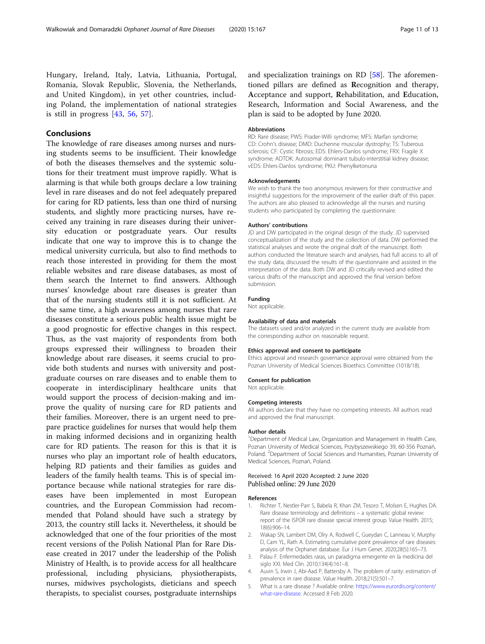<span id="page-10-0"></span>Hungary, Ireland, Italy, Latvia, Lithuania, Portugal, Romania, Slovak Republic, Slovenia, the Netherlands, and United Kingdom), in yet other countries, including Poland, the implementation of national strategies is still in progress [\[43](#page-11-0), [56,](#page-12-0) [57\]](#page-12-0).

#### Conclusions

The knowledge of rare diseases among nurses and nursing students seems to be insufficient. Their knowledge of both the diseases themselves and the systemic solutions for their treatment must improve rapidly. What is alarming is that while both groups declare a low training level in rare diseases and do not feel adequately prepared for caring for RD patients, less than one third of nursing students, and slightly more practicing nurses, have received any training in rare diseases during their university education or postgraduate years. Our results indicate that one way to improve this is to change the medical university curricula, but also to find methods to reach those interested in providing for them the most reliable websites and rare disease databases, as most of them search the Internet to find answers. Although nurses' knowledge about rare diseases is greater than that of the nursing students still it is not sufficient. At the same time, a high awareness among nurses that rare diseases constitute a serious public health issue might be a good prognostic for effective changes in this respect. Thus, as the vast majority of respondents from both groups expressed their willingness to broaden their knowledge about rare diseases, it seems crucial to provide both students and nurses with university and postgraduate courses on rare diseases and to enable them to cooperate in interdisciplinary healthcare units that would support the process of decision-making and improve the quality of nursing care for RD patients and their families. Moreover, there is an urgent need to prepare practice guidelines for nurses that would help them in making informed decisions and in organizing health care for RD patients. The reason for this is that it is nurses who play an important role of health educators, helping RD patients and their families as guides and leaders of the family health teams. This is of special importance because while national strategies for rare diseases have been implemented in most European countries, and the European Commission had recommended that Poland should have such a strategy by 2013, the country still lacks it. Nevertheless, it should be acknowledged that one of the four priorities of the most recent versions of the Polish National Plan for Rare Disease created in 2017 under the leadership of the Polish Ministry of Health, is to provide access for all healthcare professional, including physicians, physiotherapists, nurses, midwives psychologists, dieticians and speech therapists, to specialist courses, postgraduate internships

and specialization trainings on RD [\[58\]](#page-12-0). The aforementioned pillars are defined as Recognition and therapy, Acceptance and support, Rehabilitation, and Education, Research, Information and Social Awareness, and the plan is said to be adopted by June 2020.

#### Abbreviations

RD: Rare disease; PWS: Prader-Willi syndrome; MFS: Marfan syndrome; CD: Crohn's disease; DMD: Duchenne muscular dystrophy; TS: Tuberous sclerosis; CF: Cystic fibrosis; EDS: Ehlers-Danlos syndrome; FRX: Fragile X syndrome; ADTDK: Autosomal dominant tubulo-interstitial kidney disease; vEDS: Ehlers-Danlos syndrome; PKU: Phenylketonuria

#### Acknowledgements

We wish to thank the two anonymous reviewers for their constructive and insightful suggestions for the improvement of the earlier draft of this paper. The authors are also pleased to acknowledge all the nurses and nursing students who participated by completing the questionnaire.

#### Authors' contributions

JD and DW participated in the original design of the study. JD supervised conceptualization of the study and the collection of data. DW performed the statistical analyses and wrote the original draft of the manuscript. Both authors conducted the literature search and analyses, had full access to all of the study data, discussed the results of the questionnaire and assisted in the interpretation of the data. Both DW and JD critically revised and edited the various drafts of the manuscript and approved the final version before submission.

#### Funding

Not applicable.

#### Availability of data and materials

The datasets used and/or analyzed in the current study are available from the corresponding author on reasonable request.

#### Ethics approval and consent to participate

Ethics approval and research governance approval were obtained from the Poznan University of Medical Sciences Bioethics Committee (1018/18).

#### Consent for publication

Not applicable.

#### Competing interests

All authors declare that they have no competing interests. All authors read and approved the final manuscript.

#### Author details

<sup>1</sup>Department of Medical Law, Organization and Management in Health Care Poznan University of Medical Sciences, Przybyszewskiego 39, 60-356 Poznań, Poland. <sup>2</sup>Department of Social Sciences and Humanities, Poznan University of Medical Sciences, Poznań, Poland.

## Received: 16 April 2020 Accepted: 2 June 2020<br>Published online: 29 June 2020

#### References

- Richter T, Nestler-Parr S, Babela R, Khan ZM, Tesoro T, Molsen E, Hughes DA. Rare disease terminology and definitions – a systematic global review: report of the ISPOR rare disease special interest group. Value Health. 2015; 18(6):906–14.
- 2. Wakap SN, Lambert DM, Olry A, Rodwell C, Gueydan C, Lanneau V, Murphy D, Cam YL, Rath A. Estimating cumulative point prevalence of rare diseases: analysis of the Orphanet database. Eur J Hum Genet. 2020;28(5):165–73.
- 3. Palau F. Enfermedades raras, un paradigma emergente en la medicina del siglo XXI. Med Clin. 2010;134(4):161–8.
- 4. Auvin S, Irwin J, Abi-Aad P, Battersby A. The problem of rarity: estimation of prevalence in rare disease. Value Health. 2018;21(5):501–7.
- 5. What is a rare disease ? Available online: [https://www.eurordis.org/content/](https://www.eurordis.org/content/what-rare-disease) [what-rare-disease](https://www.eurordis.org/content/what-rare-disease). Accessed 8 Feb 2020.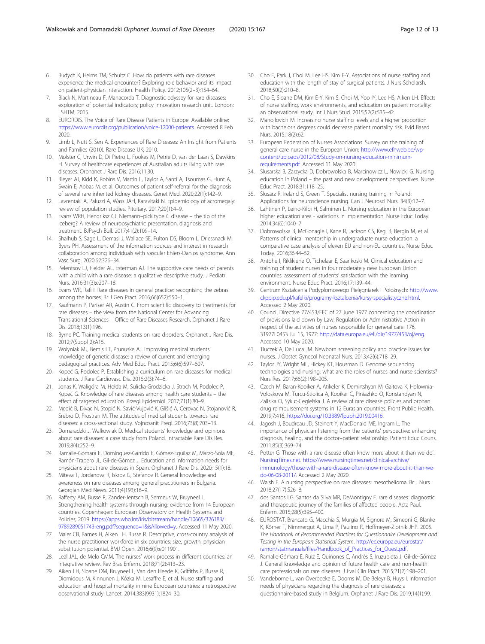- <span id="page-11-0"></span>6. Budych K, Helms TM, Schultz C. How do patients with rare diseases experience the medical encounter? Exploring role behavior and its impact on patient-physician interaction. Health Policy. 2012;105(2–3):154–64.
- 7. Black N, Martineau F, Manacorda T. Diagnostic odyssey for rare diseases: exploration of potential indicators; policy innovation research unit. London: LSHTM; 2015.
- EURORDIS. The Voice of Rare Disease Patients in Europe. Available online: <https://www.eurordis.org/publication/voice-12000-patients>. Accessed 8 Feb 2020.
- Limb L, Nutt S, Sen A. Experiences of Rare Diseases: An Insight from Patients and Families (2010). Rare Disease UK; 2010.
- 10. Molster C, Urwin D, Di Pietro L, Fookes M, Petrie D, van der Laan S, Dawkins H. Survey of healthcare experiences of Australian adults living with rare diseases. Orphanet J Rare Dis. 2016;11:30.
- 11. Bleyer AJ, Kidd K, Robins V, Martin L, Taylor A, Santi A, Tsoumas G, Hunt A, Swain E, Abbas M, et al. Outcomes of patient self-referral for the diagnosis of several rare inherited kidney diseases. Genet Med. 2020;22(1):142–9.
- 12. Lavrentaki A, Paluzzi A, Wass JAH, Karavitaki N. Epidemiology of acromegaly: review of population studies. Pituitary. 2017;20(1):4–9.
- 13. Evans WRH, Hendriksz CJ. Niemann–pick type C disease the tip of the iceberg? A review of neuropsychiatric presentation, diagnosis and treatment. BJPsych Bull. 2017;41(2):109–14.
- 14. Shalhub S, Sage L, Demasi J, Wallace SE, Fulton DS, Bloom L, Driessnack M, Byers PH. Assessment of the information sources and interest in research collaboration among individuals with vascular Ehlers-Danlos syndrome. Ann Vasc Surg. 2020;62:326–34.
- 15. Pelentsov LJ, Fielder AL, Esterman AJ. The supportive care needs of parents with a child with a rare disease: a qualitative descriptive study. J Pediatr Nurs. 2016;31(3):e207–18.
- 16. Evans WR, Rafi I. Rare diseases in general practice: recognising the zebras among the horses. Br J Gen Pract. 2016;66(652):550–1.
- 17. Kaufmann P, Pariser AR, Austin C. From scientific discovery to treatments for rare diseases – the view from the National Center for Advancing Translational Sciences – Office of Rare Diseases Research. Orphanet J Rare Dis. 2018;13(1):196.
- 18. Byrne PC. Training medical students on rare disorders. Orphanet J Rare Dis. 2012;7(Suppl 2):A15.
- 19. Wolyniak MJ, Bemis LT, Prunuske AJ. Improving medical students' knowledge of genetic disease: a review of current and emerging pedagogical practices. Adv Med Educ Pract. 2015;6(6):597–607.
- 20. Kopeć G, Podolec P. Establishing a curriculum on rare diseases for medical students. J Rare Cardiovasc Dis. 2015;2(3):74–6.
- 21. Jonas K, Waligóra M, Hołda M, Sulicka-Grodzicka J, Strach M, Podolec P, Kopeć G. Knowledge of rare diseases among health care students – the effect of targeted education. Przegl Epidemiol. 2017;71(1):80–9.
- 22. Medić B, Divac N, Stopić N, Savić-Vujović K, Glišić A, Cerovac N, Stojanović R, Srebro D, Prostran M. The attitudes of medical students towards rare diseases: a cross-sectional study. Vojnosanit Pregl. 2016;73(8):703–13.
- 23. Domaradzki J, Walkowiak D. Medical students' knowledge and opinions about rare diseases: a case study from Poland. Intractable Rare Dis Res. 2019;8(4):252–9.
- 24. Ramalle-Gómara E, Domínguez-Garrido E, Gómez-Eguílaz M, Marzo-Sola ME, Ramón-Trapero JL, Gil-de-Gómez J. Education and information needs for physicians about rare diseases in Spain. Orphanet J Rare Dis. 2020;15(1):18.
- 25. Miteva T, Jordanova R, Iskrov G, Stefanov R. General knowledge and awareness on rare diseases among general practitioners in Bulgaria. Georgian Med News. 2011;4(193):16–9.
- 26. Rafferty AM, Busse R, Zander-Jentsch B, Sermeus W, Bruyneel L. Strengthening health systems through nursing: evidence from 14 European countries. Copenhagen: European Observatory on Health Systems and Policies; 2019. [https://apps.who.int/iris/bitstream/handle/10665/326183/](https://apps.who.int/iris/bitstream/handle/10665/326183/9789289051743-eng.pdf?sequence=1&isAllowed=y) [9789289051743-eng.pdf?sequence=1&isAllowed=y](https://apps.who.int/iris/bitstream/handle/10665/326183/9789289051743-eng.pdf?sequence=1&isAllowed=y). Accessed 11 May 2020.
- 27. Maier CB, Barnes H, Aiken LH, Busse R. Descriptive, cross-country analysis of the nurse practitioner workforce in six countries: size, growth, physician substitution potential. BMJ Open. 2016;6(9):e011901.
- 28. Leal JAL, de Melo CMM. The nurses' work process in different countries: an integrative review. Rev Bras Enferm. 2018;71(2):413–23.
- 29. Aiken LH, Sloane DM, Bruyneel L, Van den Heede K, Griffiths P, Busse R, Diomidous M, Kinnunen J, Kózka M, Lesaffre E, et al. Nurse staffing and education and hospital mortality in nine European countries: a retrospective observational study. Lancet. 2014;383(9931):1824–30.
- 30. Cho E, Park J, Choi M, Lee HS, Kim E-Y. Associations of nurse staffing and education with the length of stay of surgical patients. J Nurs Scholarsh. 2018;50(2):210–8.
- 31. Cho E, Sloane DM, Kim E-Y, Kim S, Choi M, Yoo IY, Lee HS, Aiken LH. Effects of nurse staffing, work environments, and education on patient mortality: an observational study. Int J Nurs Stud. 2015;52(2):535–42.
- 32. Manojlovich M. Increasing nurse staffing levels and a higher proportion with bachelor's degrees could decrease patient mortality risk. Evid Based Nurs. 2015;18(2):62.
- 33. European Federation of Nurses Associations. Survey on the training of general care nurse in the European Union: [http://www.efnweb.be/wp](http://www.efnweb.be/wp-content/uploads/2012/08/Study-on-nursing-education-minimum-requirements.pdf)[content/uploads/2012/08/Study-on-nursing-education-minimum](http://www.efnweb.be/wp-content/uploads/2012/08/Study-on-nursing-education-minimum-requirements.pdf)[requirements.pdf](http://www.efnweb.be/wp-content/uploads/2012/08/Study-on-nursing-education-minimum-requirements.pdf). Accessed 11 May 2020.
- 34. Ślusarska B, Zarzycka D, Dobrowolska B, Marcinowicz L, Nowicki G. Nursing education in Poland – the past and new development perspectives. Nurse Educ Pract. 2018;31:118–25.
- 35. Ślusarz R, Ireland S, Green T. Specialist nursing training in Poland: Applications for neuroscience nursing. Can J Neurosci Nurs. 34(3):12–7.
- 36. Lahtinen P, Leino-Kilpi H, Salminen L. Nursing education in the European higher education area - variations in implementation. Nurse Educ Today. 2014;34(6):1040–7.
- 37. Dobrowolska B, McGonagle I, Kane R, Jackson CS, Kegl B, Bergin M, et al. Patterns of clinical mentorship in undergraduate nurse education: a comparative case analysis of eleven EU and non-EU countries. Nurse Educ Today. 2016;36:44–52.
- 38. Antohe I, Riklikiene O, Tichelaar E, Saarikoski M. Clinical education and training of student nurses in four moderately new European Union countries: assessment of students' satisfaction with the learning environment. Nurse Educ Pract. 2016;17:139–44.
- 39. Centrum Kształcenia Podyplomowego Pielęgniarek i Położnych: [http://www.](http://www.ckppip.edu.pl/kafelki/programy-ksztalcenia/kursy-specjalistyczne.html) [ckppip.edu.pl/kafelki/programy-ksztalcenia/kursy-specjalistyczne.html.](http://www.ckppip.edu.pl/kafelki/programy-ksztalcenia/kursy-specjalistyczne.html) Accessed 2 May 2020.
- 40. Council Directive 77/453/EEC of 27 June 1977 concerning the coordination of provisions laid down by Law, Regulation or Administrative Action in respect of the activities of nurses responsible for general care. 176, 31977L0453 Jul 15, 1977: <http://data.europa.eu/eli/dir/1977/453/oj/eng>. Accessed 10 May 2020.
- 41. Tluczek A, De Luca JM. Newborn screening policy and practice issues for nurses. J Obstet Gynecol Neonatal Nurs. 2013;42(6):718–29.
- 42. Taylor JY, Wright ML, Hickey KT, Housman D. Genome sequencing technologies and nursing: what are the roles of nurses and nurse scientists? Nurs Res. 2017;66(2):198–205.
- 43. Czech M, Baran-Kooiker A, Atikeler K, Demirtshyan M, Gaitova K, Holownia-Voloskova M, Turcu-Stiolica A, Kooiker C, Piniazhko O, Konstandyan N, Zalis'ka O, Sykut-Cegielska J. A review of rare disease policies and orphan drug reimbursement systems in 12 Eurasian countries. Front Public Health. 2019;7:416. <https://doi.org/10.3389/fpubh.2019.00416>.
- 44. Jagosh J, Boudreau JD, Steinert Y, MacDonald ME, Ingram L. The importance of physician listening from the patients' perspective: enhancing diagnosis, healing, and the doctor–patient relationship. Patient Educ Couns. 2011;85(3):369–74.
- 45. Potter G. Those with a rare disease often know more about it than we do'. [NursingTimes.net.](http://nursingtimes.net) [https://www.nursingtimes.net/clinical-archive/](https://www.nursingtimes.net/clinical-archive/immunology/those-with-a-rare-disease-often-know-more-about-it-than-we-do-06-08-2011/) [immunology/those-with-a-rare-disease-often-know-more-about-it-than-we](https://www.nursingtimes.net/clinical-archive/immunology/those-with-a-rare-disease-often-know-more-about-it-than-we-do-06-08-2011/)[do-06-08-2011/](https://www.nursingtimes.net/clinical-archive/immunology/those-with-a-rare-disease-often-know-more-about-it-than-we-do-06-08-2011/). Accessed 2 May 2020.
- 46. Walsh E. A nursing perspective on rare diseases: mesothelioma. Br J Nurs. 2018;27(17):S26–8.
- 47. dos Santos LG. Santos da Silva MR, DeMontigny F. rare diseases: diagnostic and therapeutic journey of the families of affected people. Acta Paul. Enferm. 2015;28(5):395–400.
- 48. EUROSTAT. Brancato G, Macchia S, Murgia M, Signore M, Simeoni G, Blanke K, Körner T, Nimmergut A, Lima P, Paulino R, Hoffmeyer-Zlotnik JHP. 2005. The Handbook of Recommended Practices for Questionnaire Development and Testing in the European Statistical System. [http://ec.europa.eu/eurostat/](https://www.ec.europa.eu/eurostat/ramon/statmanuals/files/Handbook_of_Practices_for_Quest.pdf) [ramon/statmanuals/files/Handbook\\_of\\_Practices\\_for\\_Quest.pdf.](https://www.ec.europa.eu/eurostat/ramon/statmanuals/files/Handbook_of_Practices_for_Quest.pdf)
- 49. Ramalle-Gómara E, Ruiz E, Quiñones C, Andrés S, Iruzubieta J, Gil-de-Gómez J. General knowledge and opinion of future health care and non-health care professionals on rare diseases. J Eval Clin Pract. 2015;21(2):198–201.
- Vandeborne L, van Overbeeke E, Dooms M, De Beleyr B, Huys I. Information needs of physicians regarding the diagnosis of rare diseases: a questionnaire-based study in Belgium. Orphanet J Rare Dis. 2019;14(1):99.